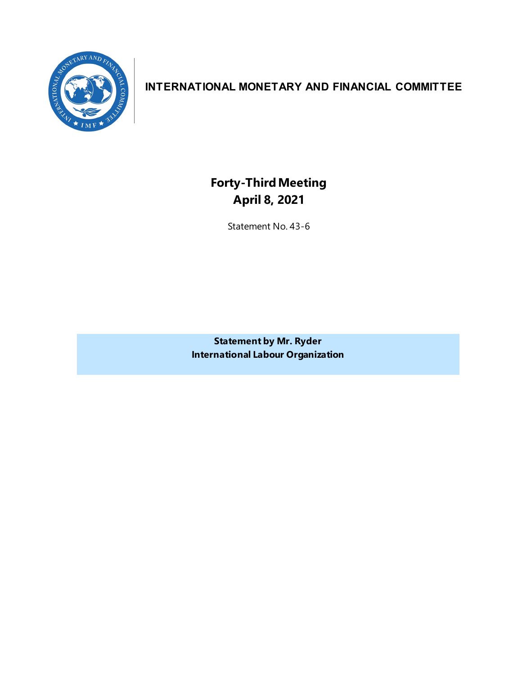

## **INTERNATIONAL MONETARY AND FINANCIAL COMMITTEE**

**Forty-ThirdMeeting April 8, 2021**

Statement No. 43-6

**Statement by Mr. Ryder International Labour Organization**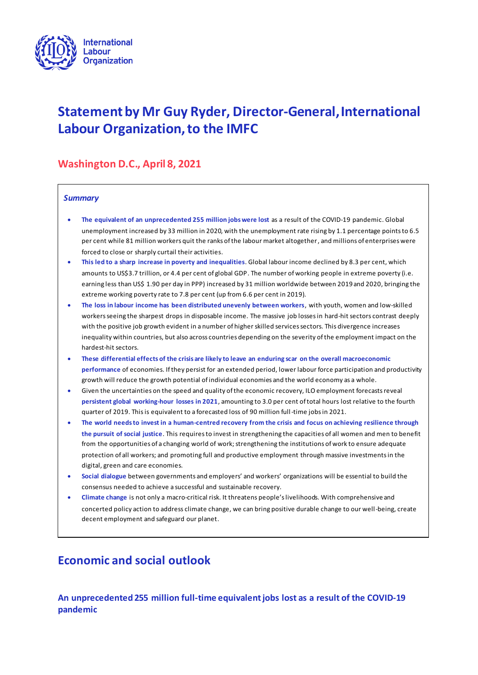

# **Statement by Mr Guy Ryder, Director-General, International Labour Organization, to the IMFC**

## **Washington D.C., April 8, 2021**

### *Summary*

- **The equivalent of an unprecedented 255 million jobs were lost** as a result of the COVID-19 pandemic. Global unemployment increased by 33 million in 2020, with the unemployment rate rising by 1.1 percentage points to 6.5 per cent while 81 million workers quit the ranks of the labour market altogether, and millions of enterprises were forced to close or sharply curtail their activities.
- **This led to a sharp increase in poverty and inequalities**. Global labour income declined by 8.3 per cent, which amounts to US\$3.7 trillion, or 4.4 per cent of global GDP. The number of working people in extreme poverty (i.e. earning less than US\$ 1.90 per day in PPP) increased by 31 million worldwide between 2019 and 2020, bringing the extreme working poverty rate to 7.8 per cent (up from 6.6 per cent in 2019).
- **The loss in labour income has been distributed unevenly between workers**, with youth, women and low-skilled workers seeing the sharpest drops in disposable income. The massive job losses in hard-hit sectors contrast deeply with the positive job growth evident in a number of higher skilled services sectors. This divergence increases inequality within countries, but also across countries depending on the severity of the employment impact on the hardest-hit sectors.
- **These differential effects of the crisis are likely to leave an enduring scar on the overall macroeconomic performance** of economies. If they persist for an extended period, lower labour force participation and productivity growth will reduce the growth potential of individual economies and the world economy as a whole.
- Given the uncertainties on the speed and quality of the economic recovery, ILO employment forecasts reveal **persistent global working-hour losses in 2021**, amounting to 3.0 per cent of total hours lost relative to the fourth quarter of 2019. This is equivalent to a forecasted loss of 90 million full-time jobs in 2021.
- **The world needs to invest in a human-centred recovery from the crisis and focus on achieving resilience through the pursuit of social justice**. This requires to invest in strengthening the capacities of all women and men to benefit from the opportunities of a changing world of work; strengthening the institutions of work to ensure adequate protection of all workers; and promoting full and productive employment through massive investments in the digital, green and care economies.
- **Social dialogue** between governments and employers' and workers' organizations will be essential to build the consensus needed to achieve a successful and sustainable recovery.
- **Climate change** is not only a macro-critical risk. It threatens people's livelihoods. With comprehensive and concerted policy action to address climate change, we can bring positive durable change to our well-being, create decent employment and safeguard our planet.

## **Economic and social outlook**

**An unprecedented 255 million full-time equivalent jobs lost as a result of the COVID-19 pandemic**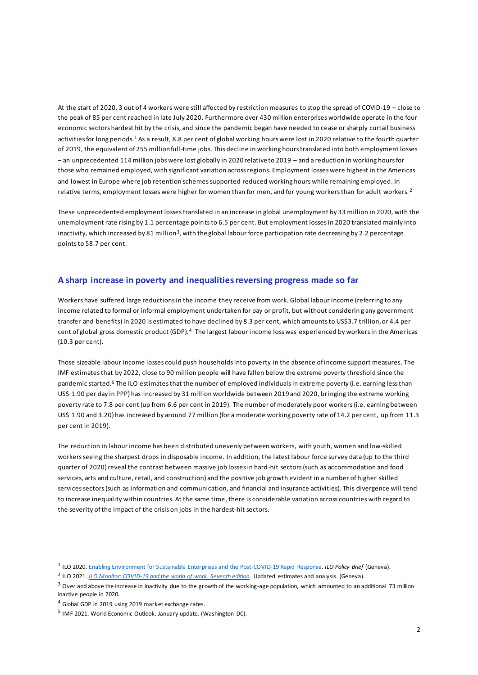At the start of 2020, 3 out of 4 workers were still affected by restriction measures to stop the spread of COVID-19 – close to the peak of 85 per cent reached in late July 2020. Furthermore over 430 million enterprises worldwide operate in the four economic sectors hardest hit by the crisis, and since the pandemic began have needed to cease or sharply curtail business activities for long periods.<sup>1</sup> As a result, 8.8 per cent of global working hours were lost in 2020 relative to the fourth quarter of 2019, the equivalent of 255 million full-time jobs. This decline in working hours translated into both employment losses – an unprecedented 114 million jobs were lost globally in 2020 relative to 2019 – and a reduction in working hours for those who remained employed, with significant variation across regions. Employment losses were highest in the Americas and lowest in Europe where job retention schemes supported reduced working hours while remaining employed. In relative terms, employment losses were higher for women than for men, and for young workers than for adult workers. <sup>2</sup>

These unprecedented employment losses translated in an increase in global unemployment by 33 million in 2020, with the unemployment rate rising by 1.1 percentage points to 6.5 per cent. But employment losses in 2020 translated mainly into inactivity, which increased by 81 million<sup>3</sup>, with the global labour force participation rate decreasing by 2.2 percentage points to 58.7 per cent.

### **A sharp increase in poverty and inequalitiesreversing progress made so far**

Workers have suffered large reductions in the income they receive from work. Global labour income (referring to any income related to formal or informal employment undertaken for pay or profit, but without considerin g any government transfer and benefits) in 2020 is estimated to have declined by 8.3 per cent, which amounts to US\$3.7 trillion, or 4.4 per cent of global gross domestic product (GDP).<sup>4</sup> The largest labour income loss was experienced by workers in the Ame ricas (10.3 per cent).

Those sizeable labour income losses could push households into poverty in the absence of income support measures. The IMF estimates that by 2022, close to 90 million people will have fallen below the extreme poverty threshold since the pandemic started.<sup>5</sup> The ILO estimatesthat the number of employed individuals in extreme poverty (i.e. earning less than US\$ 1.90 per day in PPP) has increased by 31 million worldwide between 2019 and 2020, bringing the extreme working poverty rate to 7.8 per cent (up from 6.6 per cent in 2019). The number of moderately poor workers (i.e. earning between US\$ 1.90 and 3.20) has increased by around 77 million (for a moderate working poverty rate of 14.2 per cent, up from 11.3 per cent in 2019).

The reduction in labour income has been distributed unevenly between workers, with youth, women and low-skilled workers seeing the sharpest drops in disposable income. In addition, the latest labour force survey data (up to the third quarter of 2020) reveal the contrast between massive job losses in hard-hit sectors (such as accommodation and food services, arts and culture, retail, and construction) and the positive job growth evident in a number of higher skilled services sectors (such as information and communication, and financial and insurance activities). This divergence will tend to increase inequality within countries. At the same time, there is considerable variation across countries with regard to the severity of the impact of the crisis on jobs in the hardest-hit sectors.

<sup>1</sup> ILO 2020[. Enabling Environment for Sustainable Enterprises and the Post-COVID-19 Rapid Response.](https://www.ilo.org/wcmsp5/groups/public/---ed_emp/---emp_ent/documents/publication/wcms_750320.pdf) *ILO Policy Brief* (Geneva).

<sup>2</sup> ILO 2021. *[ILO Monitor: COVID-19 and the world of work](https://www.ilo.org/wcmsp5/groups/public/---dgreports/---dcomm/documents/briefingnote/wcms_767028.pdf)*. *Seventh edition*. Updated estimates and analysis. (Geneva).

 $3$  Over and above the increase in inactivity due to the growth of the working-age population, which amounted to an additional 73 million inactive people in 2020.

<sup>4</sup> Global GDP in 2019 using 2019 market exchange rates.

<sup>&</sup>lt;sup>5</sup> IMF 2021. World Economic Outlook. January update. (Washington DC).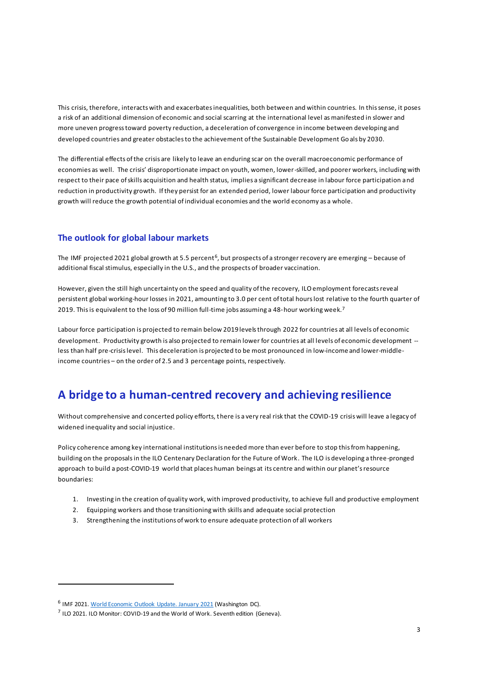This crisis, therefore, interacts with and exacerbates inequalities, both between and within countries. In this sense, it poses a risk of an additional dimension of economic and social scarring at the international level as manifested in slower and more uneven progress toward poverty reduction, a deceleration of convergence in income between developing and developed countries and greater obstacles to the achievement of the Sustainable Development Go als by 2030.

The differential effects of the crisis are likely to leave an enduring scar on the overall macroeconomic performance of economies as well. The crisis' disproportionate impact on youth, women, lower-skilled, and poorer workers, including with respect to their pace of skills acquisition and health status, implies a significant decrease in labour force participation and reduction in productivity growth. If they persist for an extended period, lower labour force participation and productivity growth will reduce the growth potential of individual economies and the world economy as a whole.

### **The outlook for global labour markets**

The IMF projected 2021 global growth at 5.5 percent<sup>6</sup>, but prospects of a stronger recovery are emerging – because of additional fiscal stimulus, especially in the U.S., and the prospects of broader vaccination.

However, given the still high uncertainty on the speed and quality of the recovery, ILO employment forecasts reveal persistent global working-hour losses in 2021, amounting to 3.0 per cent of total hours lost relative to the fourth quarter of 2019. This is equivalent to the loss of 90 million full-time jobs assuming a 48-hour working week.<sup>7</sup>

Labour force participation is projected to remain below 2019 levels through 2022 for countries at all levels of economic development. Productivity growth is also projected to remain lower for countries at all levels of economic development - less than half pre-crisis level. This deceleration is projected to be most pronounced in low-income and lower-middleincome countries – on the order of 2.5 and 3 percentage points, respectively.

## **A bridge to a human-centred recovery and achieving resilience**

Without comprehensive and concerted policy efforts, there is a very real risk that the COVID-19 crisis will leave a legacy of widened inequality and social injustice.

Policy coherence among key international institutions is needed more than ever before to stop this from happening, building on the proposals in the ILO Centenary Declaration for the Future of Work. The ILO is developing a three-pronged approach to build a post-COVID-19 world that places human beings at its centre and within our planet's resource boundaries:

- 1. Investing in the creation of quality work, with improved productivity, to achieve full and productive employment
- 2. Equipping workers and those transitioning with skills and adequate social protection
- 3. Strengthening the institutions of work to ensure adequate protection of all workers

<sup>&</sup>lt;sup>6</sup> IMF 2021[. World Economic Outlook Update. January 2021](https://www.imf.org/en/Publications/WEO/Issues/2021/01/26/2021-world-economic-outlook-update) (Washington DC).

 $^7$  ILO 2021. ILO Monitor: COVID-19 and the World of Work. Seventh edition (Geneva).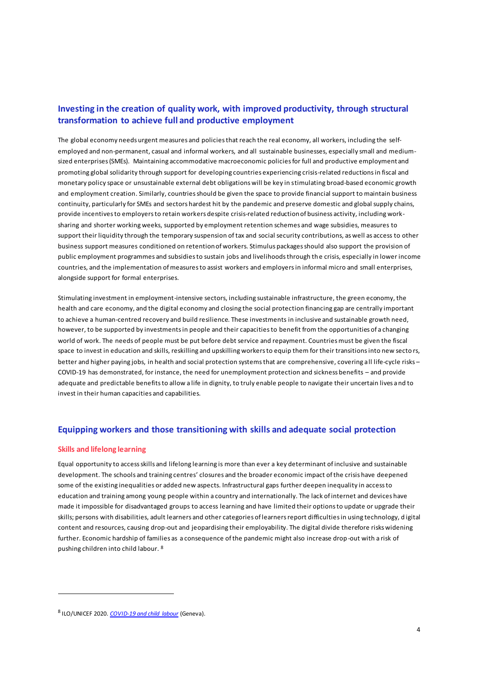### **Investing in the creation of quality work, with improved productivity, through structural transformation to achieve full and productive employment**

The global economy needs urgent measures and policies that reach the real economy, all workers, including the selfemployed and non-permanent, casual and informal workers, and all sustainable businesses, especially small and mediumsized enterprises (SMEs). Maintaining accommodative macroeconomic policies for full and productive employment and promoting global solidarity through support for developing countries experiencing crisis-related reductions in fiscal and monetary policy space or unsustainable external debt obligations will be key in stimulating broad-based economic growth and employment creation. Similarly, countries should be given the space to provide financial support to maintain business continuity, particularly for SMEs and sectors hardest hit by the pandemic and preserve domestic and global supply chains, provide incentives to employers to retain workers despite crisis-related reduction of business activity, including worksharing and shorter working weeks, supported by employment retention schemes and wage subsidies, measures to support their liquidity through the temporary suspension of tax and social security contributions, as well as access to other business support measures conditioned on retention of workers. Stimulus packages should also support the provision of public employment programmes and subsidies to sustain jobs and livelihoods through the crisis, especially in lower income countries, and the implementation of measures to assist workers and employers in informal micro and small enterprises, alongside support for formal enterprises.

Stimulating investment in employment-intensive sectors, including sustainable infrastructure, the green economy, the health and care economy, and the digital economy and closing the social protection financing gap are centrally important to achieve a human-centred recovery and build resilience. These investments in inclusive and sustainable growth need, however, to be supported by investments in people and their capacities to benefit from the opportunities of a changing world of work. The needs of people must be put before debt service and repayment. Countries must be given the fiscal space to invest in education and skills, reskilling and upskilling workers to equip them for their transitions into new secto rs, better and higher paying jobs, in health and social protection systems that are comprehensive, covering all life-cycle risks – COVID-19 has demonstrated, for instance, the need for unemployment protection and sickness benefits – and provide adequate and predictable benefits to allow a life in dignity, to truly enable people to navigate their uncertain lives and to invest in their human capacities and capabilities.

### **Equipping workers and those transitioning with skills and adequate social protection**

#### **Skills and lifelong learning**

Equal opportunity to access skills and lifelong learning is more than ever a key determinant of inclusive and sustainable development. The schools and training centres' closures and the broader economic impact of the crisis have deepened some of the existing inequalities or added new aspects. Infrastructural gaps further deepen inequality in access to education and training among young people within a country and internationally. The lack of internet and devices have made it impossible for disadvantaged groups to access learning and have limited their options to update or upgrade their skills; persons with disabilities, adult learners and other categories of learners report difficulties in using technology, d igital content and resources, causing drop-out and jeopardising their employability. The digital divide therefore risks widening further. Economic hardship of families as a consequence of the pandemic might also increase drop -out with a risk of pushing children into child labour. <sup>8</sup>

<sup>8</sup> ILO/UNICEF 2020. *[COVID-19 and child labour](https://www.ilo.org/wcmsp5/groups/public/---ed_norm/---ipec/documents/publication/wcms_747421.pdf)* (Geneva).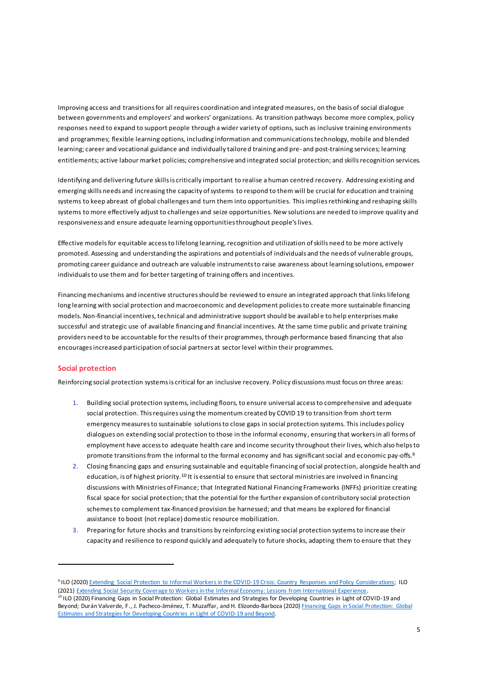Improving access and transitions for all requires coordination and integrated measures, on the basis of social dialogue between governments and employers' and workers' organizations. As transition pathways become more complex, policy responses need to expand to support people through a wider variety of options, such as inclusive training environments and programmes; flexible learning options, including information and communications technology, mobile and blended learning; career and vocational guidance and individually tailored training and pre- and post-training services; learning entitlements; active labour market policies; comprehensive and integrated social protection; and skills recognition services.

Identifying and delivering future skills is critically important to realise a human centred recovery. Addressing existing and emerging skills needs and increasing the capacity of systems to respond to them will be crucial for education and training systems to keep abreast of global challenges and turn them into opportunities. This implies rethinking and reshaping skills systems to more effectively adjust to challenges and seize opportunities. New solutions are needed to improve quality and responsiveness and ensure adequate learning opportunities throughout people's lives.

Effective models for equitable access to lifelong learning, recognition and utilization of skills need to be more actively promoted. Assessing and understanding the aspirations and potentials of individuals and the needs of vulnerable groups, promoting career guidance and outreach are valuable instruments to raise awareness about learning solutions, empower individuals to use them and for better targeting of training offers and incentives.

Financing mechanisms and incentive structures should be reviewed to ensure an integrated approach that links lifelong long learning with social protection and macroeconomic and development policies to create more sustainable financing models. Non-financial incentives, technical and administrative support should be availabl e to help enterprises make successful and strategic use of available financing and financial incentives. At the same time public and private training providers need to be accountable for the results of their programmes, through performance based financing that also encourages increased participation of social partners at sector level within their programmes.

#### **Social protection**

Reinforcing social protection systems is critical for an inclusive recovery. Policy discussions must focus on three areas:

- 1. Building social protection systems, including floors, to ensure universal access to comprehensive and adequate social protection. This requires using the momentum created by COVID 19 to transition from short term emergency measures to sustainable solutions to close gaps in social protection systems. This includes policy dialogues on extending social protection to those in the informal economy, ensuring that workers in all forms of employment have access to adequate health care and income security throughout their lives, which also helps to promote transitions from the informal to the formal economy and has significant social and economic pay-offs. 9
- 2. Closing financing gaps and ensuring sustainable and equitable financing of social protection, alongside health and education, is of highest priority.<sup>10</sup> It is essential to ensure that sectoral ministries are involved in financing discussions with Ministries of Finance; that Integrated National Financing Frameworks (INFFs) prioritize creating fiscal space for social protection; that the potential for the further expansion of contributory social protection schemesto complement tax-financed provision be harnessed; and that means be explored for financial assistance to boost (not replace) domestic resource mobilization.
- 3. Preparing for future shocks and transitions by reinforcing existing social protection systems to increase their capacity and resilience to respond quickly and adequately to future shocks, adapting them to ensure that they

<sup>9</sup> ILO (2020[\) Extending Social Protection to Informal Workers in the COVID-19 Crisis: Country Responses and Policy Considerations;](https://www.social-protection.org/gimi/RessourcePDF.action?id=56833) ILO (2021) [Extending Social Security Coverage to Workers in the Informal Economy: Lessons from International Experience.](http://informaleconomy.social-protection.org/) <sup>10</sup> ILO (2020) Financing Gaps in Social Protection: Global Estimates and Strategies for Developing Countries in Light of COVID-19 and Beyond; Durán Valverde, F., J. Pacheco-Jiménez, T. Muzaffar, and H. Elizondo-Barboza (2020) Financing Gaps in Social Protection: Global [Estimates and Strategies for Developing Countries in Light of COVID-19 and Beyond.](https://www.ilo.org/wcmsp5/groups/public/---ed_protect/---soc_sec/documents/publication/wcms_758705.pdf)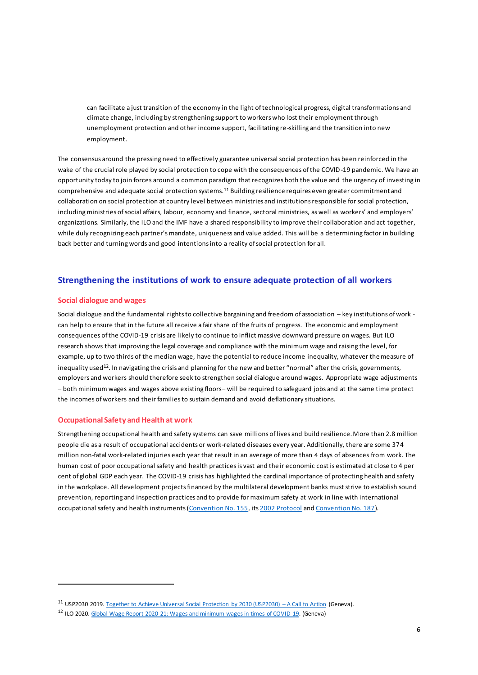can facilitate a just transition of the economy in the light of technological progress, digital transformations and climate change, including by strengthening support to workers who lost their employment through unemployment protection and other income support, facilitating re-skilling and the transition into new employment.

The consensus around the pressing need to effectively guarantee universal social protection has been reinforced in the wake of the crucial role played by social protection to cope with the consequences of the COVID-19 pandemic. We have an opportunity today to join forces around a common paradigm that recognizes both the value and the urgency of investing in comprehensive and adequate social protection systems.<sup>11</sup> Building resilience requires even greater commitment and collaboration on social protection at country level between ministries and institutions responsible for social protection, including ministries of social affairs, labour, economy and finance, sectoral ministries, as well as workers' and employers' organizations. Similarly, the ILO and the IMF have a shared responsibility to improve their collaboration and act together, while duly recognizing each partner's mandate, uniqueness and value added. This will be a determining factor in building back better and turning words and good intentions into a reality of social protection for all.

### **Strengthening the institutions of work to ensure adequate protection of all workers**

#### **Social dialogue and wages**

Social dialogue and the fundamental rights to collective bargaining and freedom of association – key institutions of work can help to ensure that in the future all receive a fair share of the fruits of progress. The economic and employment consequences of the COVID-19 crisis are likely to continue to inflict massive downward pressure on wages. But ILO research shows that improving the legal coverage and compliance with the minimum wage and raising the level, for example, up to two thirds of the median wage, have the potential to reduce income inequality, whatever the measure of inequality used<sup>12</sup>. In navigating the crisis and planning for the new and better "normal" after the crisis, governments, employers and workers should therefore seek to strengthen social dialogue around wages. Appropriate wage adjustments – both minimum wages and wages above existing floors– will be required to safeguard jobs and at the same time protect the incomes of workers and their families to sustain demand and avoid deflationary situations.

#### **Occupational Safety and Health at work**

Strengthening occupational health and safety systems can save millions of lives and build resilience. More than 2.8 million people die as a result of occupational accidents or work-related diseases every year. Additionally, there are some 374 million non-fatal work-related injuries each year that result in an average of more than 4 days of absences from work. The human cost of poor occupational safety and health practices is vast and the ir economic cost is estimated at close to 4 per cent of global GDP each year. The COVID-19 crisis has highlighted the cardinal importance of protecting health and safety in the workplace. All development projectsfinanced by the multilateral development banks must strive to establish sound prevention, reporting and inspection practices and to provide for maximum safety at work in line with international occupational safety and health instruments [\(Convention No. 155,](https://www.ilo.org/dyn/normlex/en/f?p=NORMLEXPUB:12100:0::NO::P12100_INSTRUMENT_ID:312300) it[s 2002 Protocol](https://www.ilo.org/dyn/normlex/en/f?p=NORMLEXPUB:12100:0::NO:12100:P12100_INSTRUMENT_ID:312338:NO) an[d Convention No. 187](https://www.ilo.org/dyn/normlex/en/f?p=NORMLEXPUB:12100:0::NO:12100:P12100_INSTRUMENT_ID:312332:NO)).

<sup>11</sup> USP2030 2019[. Together to Achieve Universal Social Protection by 2030 \(USP2030\)](https://www.usp2030.org/gimi/RessourcePDF.action?id=55464) – A Call to Action (Geneva).

<sup>12</sup> ILO 2020[. Global Wage Report 2020-21: Wages and minimum wages in times of COVID-19.](https://www.ilo.org/wcmsp5/groups/public/---dgreports/---dcomm/---publ/documents/publication/wcms_762534.pdf) (Geneva)